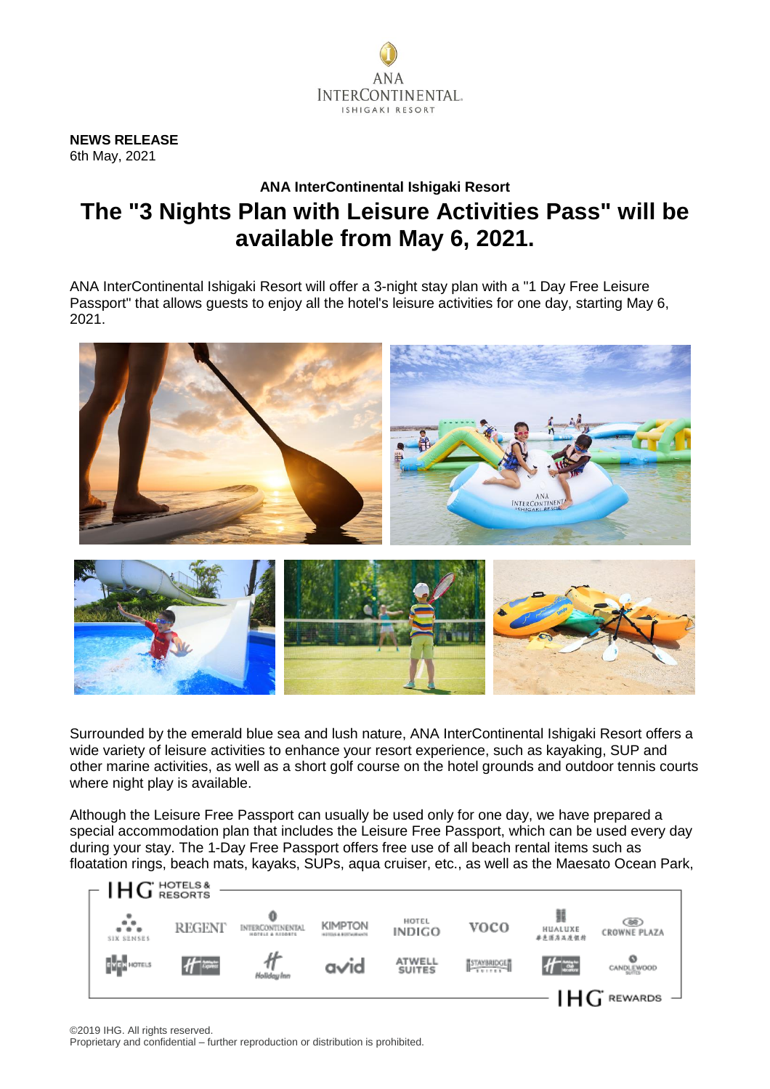

**NEWS RELEASE** 6th May, 2021

## **ANA InterContinental Ishigaki Resort The "3 Nights Plan with Leisure Activities Pass" will be available from May 6, 2021.**

ANA InterContinental Ishigaki Resort will offer a 3-night stay plan with a "1 Day Free Leisure Passport" that allows guests to enjoy all the hotel's leisure activities for one day, starting May 6, 2021.



Surrounded by the emerald blue sea and lush nature, ANA InterContinental Ishigaki Resort offers a wide variety of leisure activities to enhance your resort experience, such as kayaking, SUP and other marine activities, as well as a short golf course on the hotel grounds and outdoor tennis courts where night play is available.

Although the Leisure Free Passport can usually be used only for one day, we have prepared a special accommodation plan that includes the Leisure Free Passport, which can be used every day during your stay. The 1-Day Free Passport offers free use of all beach rental items such as floatation rings, beach mats, kayaks, SUPs, aqua cruiser, etc., as well as the Maesato Ocean Park,

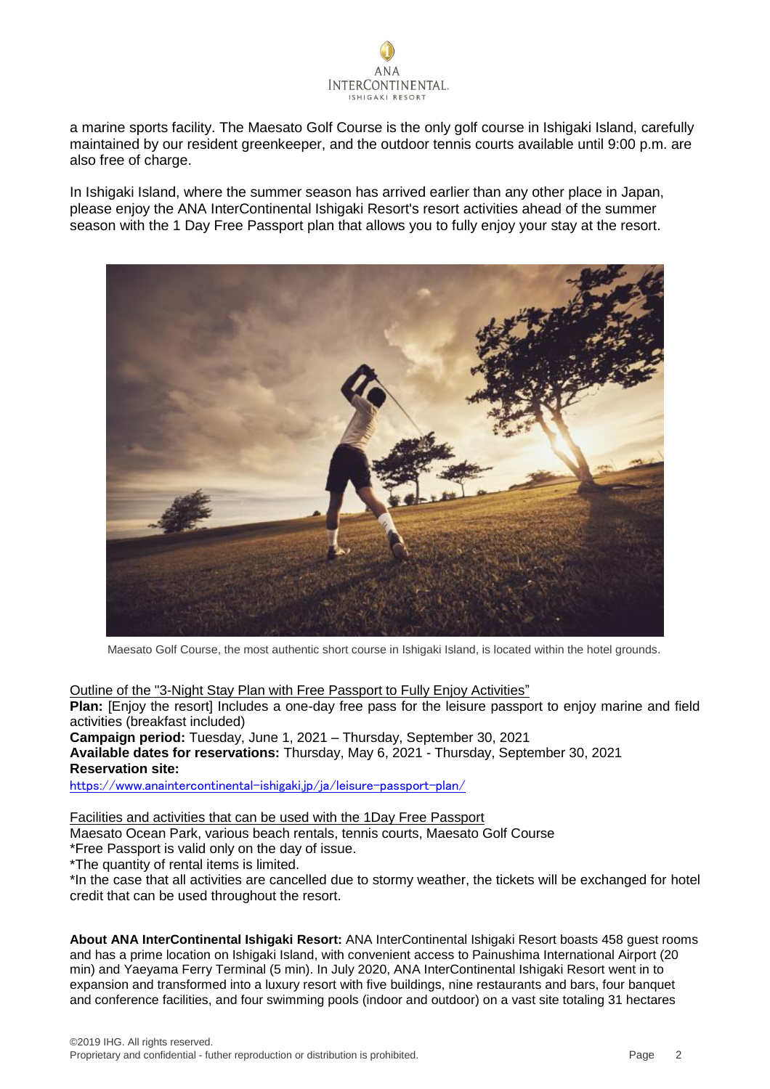

a marine sports facility. The Maesato Golf Course is the only golf course in Ishigaki Island, carefully maintained by our resident greenkeeper, and the outdoor tennis courts available until 9:00 p.m. are also free of charge.

In Ishigaki Island, where the summer season has arrived earlier than any other place in Japan, please enjoy the ANA InterContinental Ishigaki Resort's resort activities ahead of the summer season with the 1 Day Free Passport plan that allows you to fully enjoy your stay at the resort.



Maesato Golf Course, the most authentic short course in Ishigaki Island, is located within the hotel grounds.

Outline of the "3-Night Stay Plan with Free Passport to Fully Enjoy Activities" **Plan:** [Enjoy the resort] Includes a one-day free pass for the leisure passport to enjoy marine and field activities (breakfast included) **Campaign period:** Tuesday, June 1, 2021 – Thursday, September 30, 2021 **Available dates for reservations:** Thursday, May 6, 2021 - Thursday, September 30, 2021 **Reservation site:**

<https://www.anaintercontinental-ishigaki.jp/ja/leisure-passport-plan/>

Facilities and activities that can be used with the 1Day Free Passport

Maesato Ocean Park, various beach rentals, tennis courts, Maesato Golf Course

\*Free Passport is valid only on the day of issue.

\*The quantity of rental items is limited.

\*In the case that all activities are cancelled due to stormy weather, the tickets will be exchanged for hotel credit that can be used throughout the resort.

**About ANA InterContinental Ishigaki Resort:** ANA InterContinental Ishigaki Resort boasts 458 guest rooms and has a prime location on Ishigaki Island, with convenient access to Painushima International Airport (20 min) and Yaeyama Ferry Terminal (5 min). In July 2020, ANA InterContinental Ishigaki Resort went in to expansion and transformed into a luxury resort with five buildings, nine restaurants and bars, four banquet and conference facilities, and four swimming pools (indoor and outdoor) on a vast site totaling 31 hectares